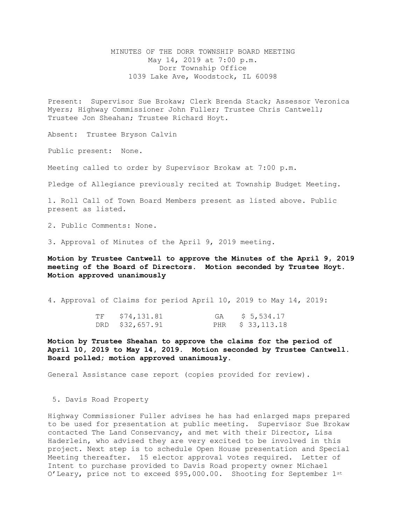MINUTES OF THE DORR TOWNSHIP BOARD MEETING May 14, 2019 at 7:00 p.m. Dorr Township Office 1039 Lake Ave, Woodstock, IL 60098

Present: Supervisor Sue Brokaw; Clerk Brenda Stack; Assessor Veronica Myers; Highway Commissioner John Fuller; Trustee Chris Cantwell; Trustee Jon Sheahan; Trustee Richard Hoyt.

Absent: Trustee Bryson Calvin

Public present: None.

Meeting called to order by Supervisor Brokaw at 7:00 p.m.

Pledge of Allegiance previously recited at Township Budget Meeting.

1. Roll Call of Town Board Members present as listed above. Public present as listed.

2. Public Comments: None.

3. Approval of Minutes of the April 9, 2019 meeting.

**Motion by Trustee Cantwell to approve the Minutes of the April 9, 2019 meeting of the Board of Directors. Motion seconded by Trustee Hoyt. Motion approved unanimously** 

4. Approval of Claims for period April 10, 2019 to May 14, 2019:

| TF | \$74,131.81     | GA | \$ 5,534.17       |
|----|-----------------|----|-------------------|
|    | DRD \$32,657.91 |    | PHR \$ 33, 113.18 |

**Motion by Trustee Sheahan to approve the claims for the period of April 10, 2019 to May 14, 2019. Motion seconded by Trustee Cantwell. Board polled; motion approved unanimously.**

General Assistance case report (copies provided for review).

5. Davis Road Property

Highway Commissioner Fuller advises he has had enlarged maps prepared to be used for presentation at public meeting. Supervisor Sue Brokaw contacted The Land Conservancy, and met with their Director, Lisa Haderlein, who advised they are very excited to be involved in this project. Next step is to schedule Open House presentation and Special Meeting thereafter. 15 elector approval votes required. Letter of Intent to purchase provided to Davis Road property owner Michael O'Leary, price not to exceed \$95,000.00. Shooting for September  $1^{st}$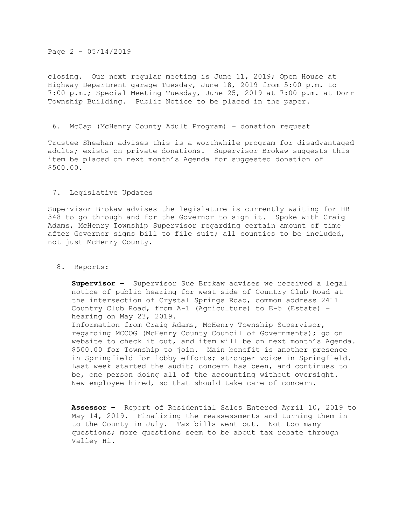## Page 2 – 05/14/2019

closing. Our next regular meeting is June 11, 2019; Open House at Highway Department garage Tuesday, June 18, 2019 from 5:00 p.m. to 7:00 p.m.; Special Meeting Tuesday, June 25, 2019 at 7:00 p.m. at Dorr Township Building. Public Notice to be placed in the paper.

## 6. McCap (McHenry County Adult Program) – donation request

Trustee Sheahan advises this is a worthwhile program for disadvantaged adults; exists on private donations. Supervisor Brokaw suggests this item be placed on next month's Agenda for suggested donation of \$500.00.

## 7. Legislative Updates

Supervisor Brokaw advises the legislature is currently waiting for HB 348 to go through and for the Governor to sign it. Spoke with Craig Adams, McHenry Township Supervisor regarding certain amount of time after Governor signs bill to file suit; all counties to be included, not just McHenry County.

## 8. Reports:

**Supervisor –** Supervisor Sue Brokaw advises we received a legal notice of public hearing for west side of Country Club Road at the intersection of Crystal Springs Road, common address 2411 Country Club Road, from A-1 (Agriculture) to E-5 (Estate) – hearing on May 23, 2019.

Information from Craig Adams, McHenry Township Supervisor, regarding MCCOG (McHenry County Council of Governments); go on website to check it out, and item will be on next month's Agenda. \$500.00 for Township to join. Main benefit is another presence in Springfield for lobby efforts; stronger voice in Springfield. Last week started the audit; concern has been, and continues to be, one person doing all of the accounting without oversight. New employee hired, so that should take care of concern.

**Assessor –** Report of Residential Sales Entered April 10, 2019 to May 14, 2019. Finalizing the reassessments and turning them in to the County in July. Tax bills went out. Not too many questions; more questions seem to be about tax rebate through Valley Hi.